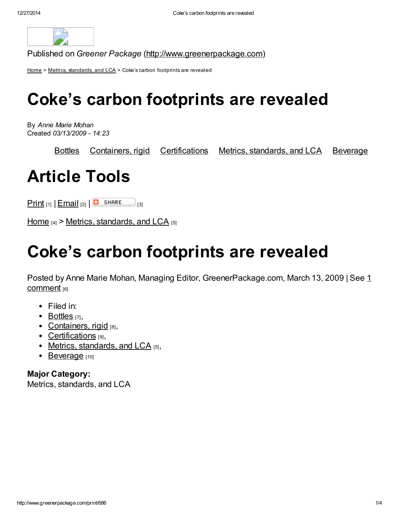

Published on Greener Package [\(http://www.greenerpackage.com](http://www.greenerpackage.com/))

[Home](http://www.greenerpackage.com/) > Metrics, [standards,](http://www.greenerpackage.com/metrics_standards_and_lca) and LCA > Coke's carbon footprints are revealed

# Coke's carbon footprints are revealed

By Anne Marie Mohan Created 03/13/2009 - 14:23

[Bottles](http://www.greenerpackage.com/bottles) [Containers,](http://www.greenerpackage.com/containers_rigid) rigid [Certifications](http://www.greenerpackage.com/certifications) Metrics, [standards,](http://www.greenerpackage.com/metrics_standards_and_lca) and LCA [Beverage](http://www.greenerpackage.com/beverage)

# Article Tools

 $\frac{\text{Print}}{\text{[1]}} \left[ \frac{\text{Email}}{\text{[2]}} \left[ \frac{\text{[3]}}{\text{[3]}} \right]$  $\frac{\text{Print}}{\text{[1]}} \left[ \frac{\text{Email}}{\text{[2]}} \left[ \frac{\text{[3]}}{\text{[3]}} \right]$  $\frac{\text{Print}}{\text{[1]}} \left[ \frac{\text{Email}}{\text{[2]}} \left[ \frac{\text{[3]}}{\text{[3]}} \right]$  $\frac{\text{Print}}{\text{[1]}} \left[ \frac{\text{Email}}{\text{[2]}} \left[ \frac{\text{[3]}}{\text{[3]}} \right]$  $\frac{\text{Print}}{\text{[1]}} \left[ \frac{\text{Email}}{\text{[2]}} \left[ \frac{\text{[3]}}{\text{[3]}} \right]$ 

[Home](http://www.greenerpackage.com/)  $_{[4]}$  > Metrics, [standards,](http://www.greenerpackage.com/metrics_standards_and_lca) and LCA  $_{[5]}$ 

# Coke's carbon footprints are revealed

Posted by Anne Marie Mohan, Managing Editor, GreenerPackage.com, March 13, 2009 | See 1 comment [6]

- Filed in:
- $\bullet$  [Bottles](http://www.greenerpackage.com/bottles)  $\overline{171}$ ,
- [Containers,](http://www.greenerpackage.com/containers_rigid) rigid  $[8]$ ,
- [Certifications](http://www.greenerpackage.com/certifications) [9],
- Metrics, [standards,](http://www.greenerpackage.com/metrics_standards_and_lca) and  $LCA$  [5],
- [Beverage](http://www.greenerpackage.com/beverage) [10]

Major Category: Metrics, standards, and LCA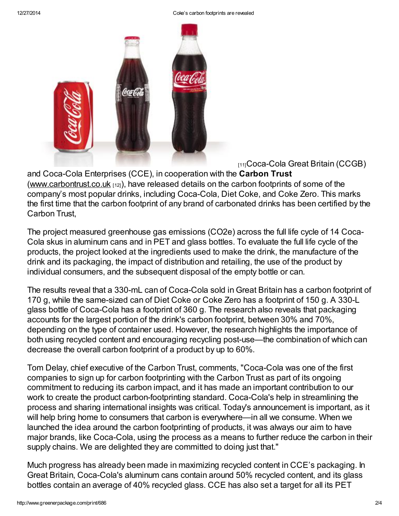#### 12/27/2014 Coke's carbon footprints are revealed



[11]Coca-Cola Great Britain (CCGB)

and Coca-Cola Enterprises (CCE), in cooperation with the Carbon Trust [\(www.carbontrust.co.uk](http://www.carbontrust.co.uk/)  $_{[12]}$ ), have released details on the carbon footprints of some of the company's most popular drinks, including Coca-Cola, Diet Coke, and Coke Zero. This marks the first time that the carbon footprint of any brand of carbonated drinks has been certified by the Carbon Trust,

The project measured greenhouse gas emissions (CO2e) across the full life cycle of 14 Coca-Cola skus in aluminum cans and in PET and glass bottles. To evaluate the full life cycle of the products, the project looked at the ingredients used to make the drink, the manufacture of the drink and its packaging, the impact of distribution and retailing, the use of the product by individual consumers, and the subsequent disposal of the empty bottle or can.

The results reveal that a 330-mL can of Coca-Cola sold in Great Britain has a carbon footprint of 170 g, while the same-sized can of Diet Coke or Coke Zero has a footprint of 150 g. A 330-L glass bottle of Coca-Cola has a footprint of 360 g. The research also reveals that packaging accounts for the largest portion of the drink's carbon footprint, between 30% and 70%, depending on the type of container used. However, the research highlights the importance of both using recycled content and encouraging recycling post-use—the combination of which can decrease the overall carbon footprint of a product by up to 60%.

Tom Delay, chief executive of the Carbon Trust, comments, "Coca-Cola was one of the first companies to sign up for carbon footprinting with the Carbon Trust as part of its ongoing commitment to reducing its carbon impact, and it has made an important contribution to our work to create the product carbon-footprinting standard. Coca-Cola's help in streamlining the process and sharing international insights was critical. Today's announcement is important, as it will help bring home to consumers that carbon is everywhere—in all we consume. When we launched the idea around the carbon footprinting of products, it was always our aim to have major brands, like Coca-Cola, using the process as a means to further reduce the carbon in their supply chains. We are delighted they are committed to doing just that."

Much progress has already been made in maximizing recycled content in CCE's packaging. In Great Britain, Coca-Cola's aluminum cans contain around 50% recycled content, and its glass bottles contain an average of 40% recycled glass. CCE has also set a target for all its PET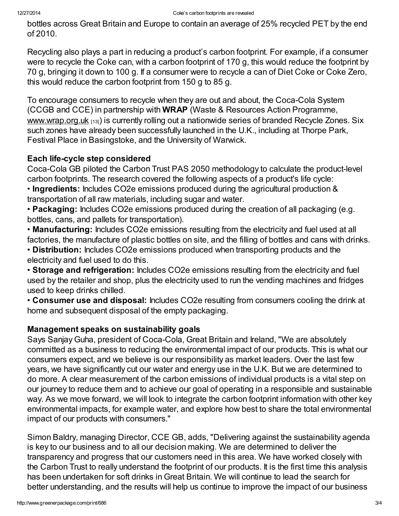bottles across Great Britain and Europe to contain an average of 25% recycled PET by the end of 2010.

Recycling also plays a part in reducing a product's carbon footprint. For example, if a consumer were to recycle the Coke can, with a carbon footprint of 170 g, this would reduce the footprint by 70 g, bringing it down to 100 g. If a consumer were to recycle a can of Diet Coke or Coke Zero, this would reduce the carbon footprint from 150 g to 85 g.

To encourage consumers to recycle when they are out and about, the Coca-Cola System (CCGB and CCE) in partnership with WRAP (Waste & Resources Action Programme, [www.wrap.org.uk](http://www.wrap.org.uk/) [13]) is currently rolling out a nationwide series of branded Recycle Zones. Six such zones have already been successfully launched in the U.K., including at Thorpe Park, Festival Place in Basingstoke, and the University of Warwick.

## Each life-cycle step considered

Coca-Cola GB piloted the Carbon Trust PAS 2050 methodology to calculate the product-level carbon footprints. The research covered the following aspects of a product's life cycle:

• Ingredients: Includes CO2e emissions produced during the agricultural production & transportation of all raw materials, including sugar and water.

• Packaging: Includes CO2e emissions produced during the creation of all packaging (e.g. bottles, cans, and pallets for transportation).

• Manufacturing: Includes CO2e emissions resulting from the electricity and fuel used at all factories, the manufacture of plastic bottles on site, and the filling of bottles and cans with drinks.

• Distribution: Includes CO2e emissions produced when transporting products and the electricity and fuel used to do this.

• Storage and refrigeration: Includes CO2e emissions resulting from the electricity and fuel used by the retailer and shop, plus the electricity used to run the vending machines and fridges used to keep drinks chilled.

• Consumer use and disposal: Includes CO2e resulting from consumers cooling the drink at home and subsequent disposal of the empty packaging.

### Management speaks on sustainability goals

Says Sanjay Guha, president of Coca-Cola, Great Britain and Ireland, "We are absolutely committed as a business to reducing the environmental impact of our products. This is what our consumers expect, and we believe is our responsibility as market leaders. Over the last few years, we have significantly cut our water and energy use in the U.K. But we are determined to do more. A clear measurement of the carbon emissions of individual products is a vital step on our journey to reduce them and to achieve our goal of operating in a responsible and sustainable way. As we move forward, we will look to integrate the carbon footprint information with other key environmental impacts, for example water, and explore how best to share the total environmental impact of our products with consumers."

Simon Baldry, managing Director, CCE GB, adds, "Delivering against the sustainability agenda is key to our business and to all our decision making. We are determined to deliver the transparency and progress that our customers need in this area. We have worked closely with the Carbon Trust to really understand the footprint of our products. It is the first time this analysis has been undertaken for soft drinks in Great Britain. We will continue to lead the search for better understanding, and the results will help us continue to improve the impact of our business